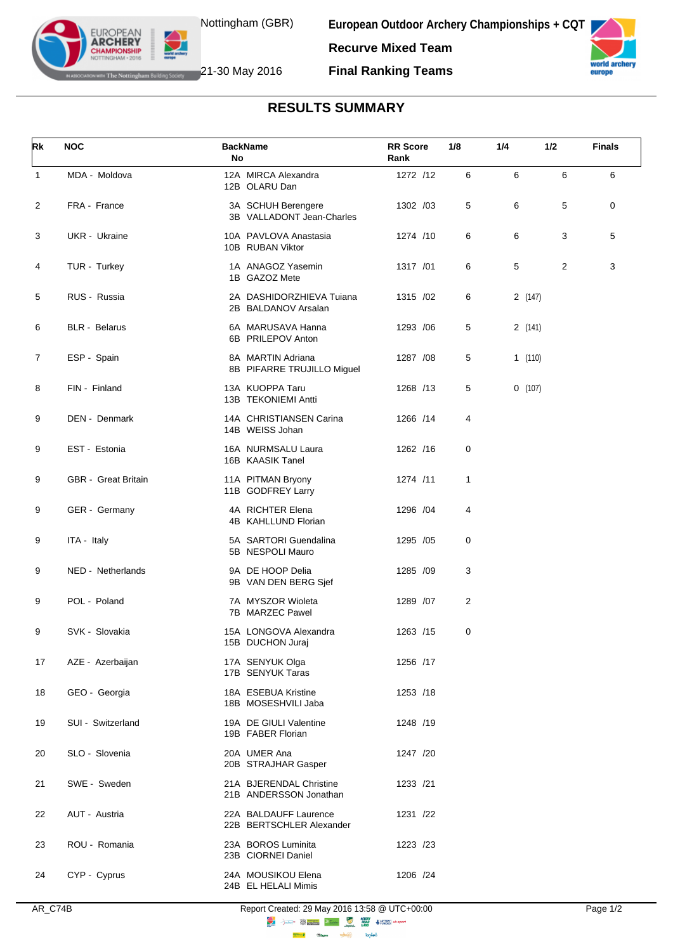

**European Outdoor Archery Championships + CQT Recurve Mixed Team**



**IF The Nottingham Building Society** 21-30 May 2016

**EUROPEAN ARCHERY** 

**Final Ranking Teams**

## **RESULTS SUMMARY**

| Rk             | <b>NOC</b>           | <b>BackName</b><br>No                             | <b>RR</b> Score<br>Rank | 1/8 | 1/4    | 1/2 | <b>Finals</b> |
|----------------|----------------------|---------------------------------------------------|-------------------------|-----|--------|-----|---------------|
| $\mathbf{1}$   | MDA - Moldova        | 12A MIRCA Alexandra<br>12B OLARU Dan              | 1272 /12                | 6   | 6      | 6   | 6             |
| 2              | FRA - France         | 3A SCHUH Berengere<br>3B VALLADONT Jean-Charles   | 1302 /03                | 5   | 6      | 5   | $\mathbf 0$   |
| 3              | UKR - Ukraine        | 10A PAVLOVA Anastasia<br>10B RUBAN Viktor         | 1274 /10                | 6   | 6      | 3   | 5             |
| 4              | TUR - Turkey         | 1A ANAGOZ Yasemin<br>1B GAZOZ Mete                | 1317 /01                | 6   | 5      | 2   | 3             |
| 5              | RUS - Russia         | 2A DASHIDORZHIEVA Tujana<br>2B BALDANOV Arsalan   | 1315 /02                | 6   | 2(147) |     |               |
| 6              | <b>BLR</b> - Belarus | 6A MARUSAVA Hanna<br>6B PRILEPOV Anton            | 1293 / 06               | 5   | 2(141) |     |               |
| $\overline{7}$ | ESP - Spain          | 8A MARTIN Adriana<br>8B PIFARRE TRUJILLO Miguel   | 1287 / 08               | 5   | 1(110) |     |               |
| 8              | FIN - Finland        | 13A KUOPPA Taru<br>13B TEKONIEMI Antti            | 1268 /13                | 5   | 0(107) |     |               |
| 9              | DEN - Denmark        | 14A CHRISTIANSEN Carina<br>14B WEISS Johan        | 1266 /14                | 4   |        |     |               |
| 9              | EST - Estonia        | 16A NURMSALU Laura<br>16B KAASIK Tanel            | 1262 /16                | 0   |        |     |               |
| 9              | GBR - Great Britain  | 11A PITMAN Bryony<br>11B GODFREY Larry            | 1274 /11                | 1   |        |     |               |
| 9              | GER - Germany        | 4A RICHTER Elena<br>4B KAHLLUND Florian           | 1296 / 04               | 4   |        |     |               |
| 9              | ITA - Italy          | 5A SARTORI Guendalina<br>5B NESPOLI Mauro         | 1295 /05                | 0   |        |     |               |
| 9              | NED - Netherlands    | 9A DE HOOP Delia<br>9B VAN DEN BERG Sjef          | 1285 /09                | 3   |        |     |               |
| 9              | POL - Poland         | 7A MYSZOR Wioleta<br>7B MARZEC Pawel              | 1289 /07                | 2   |        |     |               |
| 9              | SVK - Slovakia       | 15A LONGOVA Alexandra<br>15B DUCHON Juraj         | 1263 /15                | 0   |        |     |               |
| 17             | AZE - Azerbaijan     | 17A SENYUK Olga<br>17B SENYUK Taras               | 1256 /17                |     |        |     |               |
| 18             | GEO - Georgia        | 18A ESEBUA Kristine<br>18B MOSESHVILI Jaba        | 1253 /18                |     |        |     |               |
| 19             | SUI - Switzerland    | 19A DE GIULI Valentine<br>19B FABER Florian       | 1248 /19                |     |        |     |               |
| 20             | SLO - Slovenia       | 20A UMER Ana<br>20B STRAJHAR Gasper               | 1247 /20                |     |        |     |               |
| 21             | SWE - Sweden         | 21A BJERENDAL Christine<br>21B ANDERSSON Jonathan | 1233 /21                |     |        |     |               |
| 22             | AUT - Austria        | 22A BALDAUFF Laurence<br>22B BERTSCHLER Alexander | 1231 /22                |     |        |     |               |
| 23             | ROU - Romania        | 23A BOROS Luminita<br>23B CIORNEI Daniel          | 1223 /23                |     |        |     |               |
| 24             | CYP - Cyprus         | 24A MOUSIKOU Elena<br>24B EL HELALI Mimis         | 1206 /24                |     |        |     |               |